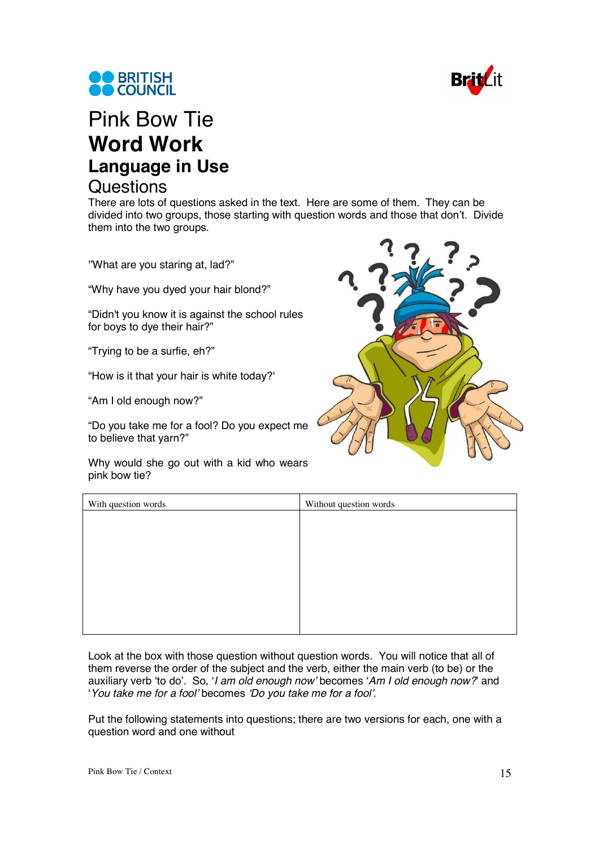



## Pink Bow Tie **Word Work Language in Use Questions**

There are lots of questions asked in the text. Here are some of them. They can be divided into two groups, those starting with question words and those that don't. Divide them into the two groups.

''What are you staring at, lad?"

"Why have you dyed your hair blond?"

"Didn't you know it is against the school rules for boys to dye their hair?"

"Trying to be a surfie, eh?"

"How is it that your hair is white today?'

"Am I old enough now?"

"Do you take me for a fool? Do you expect me to believe that yarn?"

Why would she go out with a kid who wears pink bow tie?



| With question words | Without question words |
|---------------------|------------------------|
|                     |                        |
|                     |                        |
|                     |                        |
|                     |                        |
|                     |                        |
|                     |                        |
|                     |                        |
|                     |                        |

Look at the box with those question without question words. You will notice that all of them reverse the order of the subject and the verb, either the main verb (to be) or the auxiliary verb 'to do'. So, '*I am old enough now'* becomes '*Am I old enough now?*' and '*You take me for a fool'* becomes *'Do you take me for a fool'*.

Put the following statements into questions; there are two versions for each, one with a question word and one without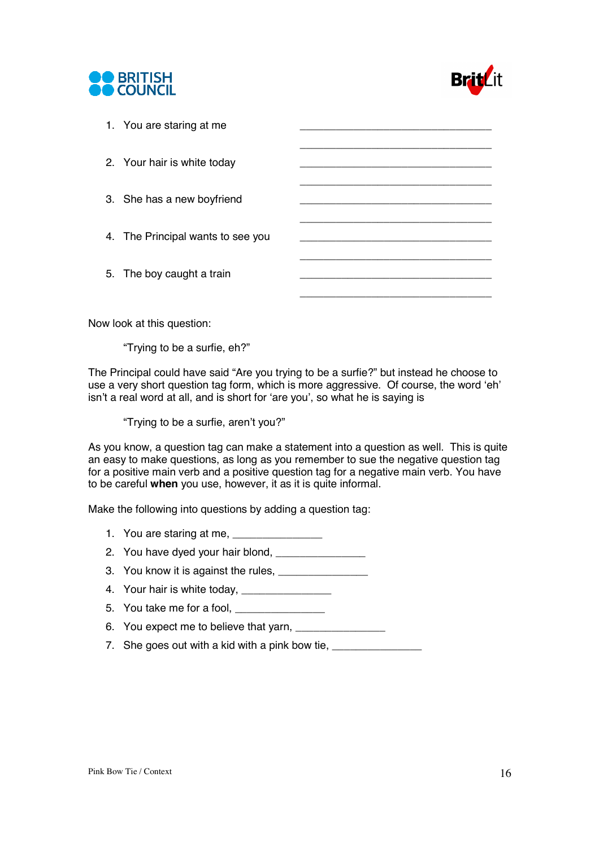



| 1. You are staring at me          |  |
|-----------------------------------|--|
| 2. Your hair is white today       |  |
| 3. She has a new boyfriend        |  |
| 4. The Principal wants to see you |  |
| 5. The boy caught a train         |  |
|                                   |  |

Now look at this question:

"Trying to be a surfie, eh?"

The Principal could have said "Are you trying to be a surfie?" but instead he choose to use a very short question tag form, which is more aggressive. Of course, the word 'eh' isn't a real word at all, and is short for 'are you', so what he is saying is

"Trying to be a surfie, aren't you?"

As you know, a question tag can make a statement into a question as well. This is quite an easy to make questions, as long as you remember to sue the negative question tag for a positive main verb and a positive question tag for a negative main verb. You have to be careful **when** you use, however, it as it is quite informal.

Make the following into questions by adding a question tag:

- 1. You are staring at me, \_\_\_\_\_\_\_\_\_\_\_\_\_\_\_\_
- 2. You have dyed your hair blond,
- 3. You know it is against the rules,
- 4. Your hair is white today, \_\_\_\_\_\_\_\_\_\_\_\_\_\_\_
- 5. You take me for a fool, \_\_\_\_\_\_
- 6. You expect me to believe that yarn, \_\_\_\_\_\_\_\_\_\_\_\_\_\_\_
- 7. She goes out with a kid with a pink bow tie,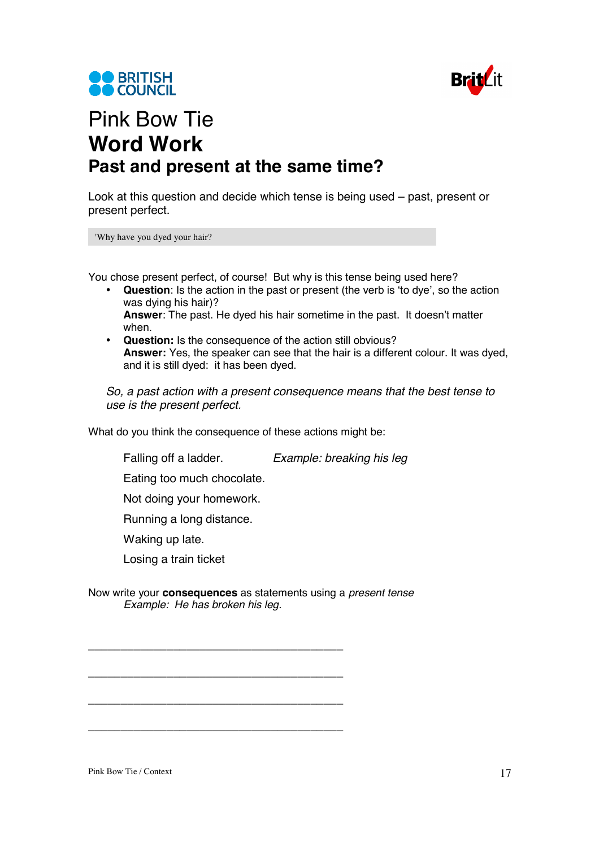



## Pink Bow Tie **Word Work Past and present at the same time?**

Look at this question and decide which tense is being used – past, present or present perfect.

'Why have you dyed your hair?

You chose present perfect, of course! But why is this tense being used here?

- **Question**: Is the action in the past or present (the verb is 'to dye', so the action was dying his hair)? **Answer**: The past. He dyed his hair sometime in the past. It doesn't matter when.
- **Question:** Is the consequence of the action still obvious? **Answer:** Yes, the speaker can see that the hair is a different colour. It was dyed, and it is still dyed: it has been dyed.

*So, a past action with a present consequence means that the best tense to use is the present perfect.* 

What do you think the consequence of these actions might be:

Falling off a ladder. *Example: breaking his leg* 

Eating too much chocolate.

Not doing your homework.

Running a long distance.

Waking up late.

Losing a train ticket

Now write your **consequences** as statements using a *present tense Example: He has broken his leg.*

\_\_\_\_\_\_\_\_\_\_\_\_\_\_\_\_\_\_\_\_\_\_\_\_\_\_\_\_\_\_\_\_\_\_\_\_\_\_\_

\_\_\_\_\_\_\_\_\_\_\_\_\_\_\_\_\_\_\_\_\_\_\_\_\_\_\_\_\_\_\_\_\_\_\_\_\_\_\_

\_\_\_\_\_\_\_\_\_\_\_\_\_\_\_\_\_\_\_\_\_\_\_\_\_\_\_\_\_\_\_\_\_\_\_\_\_\_\_

\_\_\_\_\_\_\_\_\_\_\_\_\_\_\_\_\_\_\_\_\_\_\_\_\_\_\_\_\_\_\_\_\_\_\_\_\_\_\_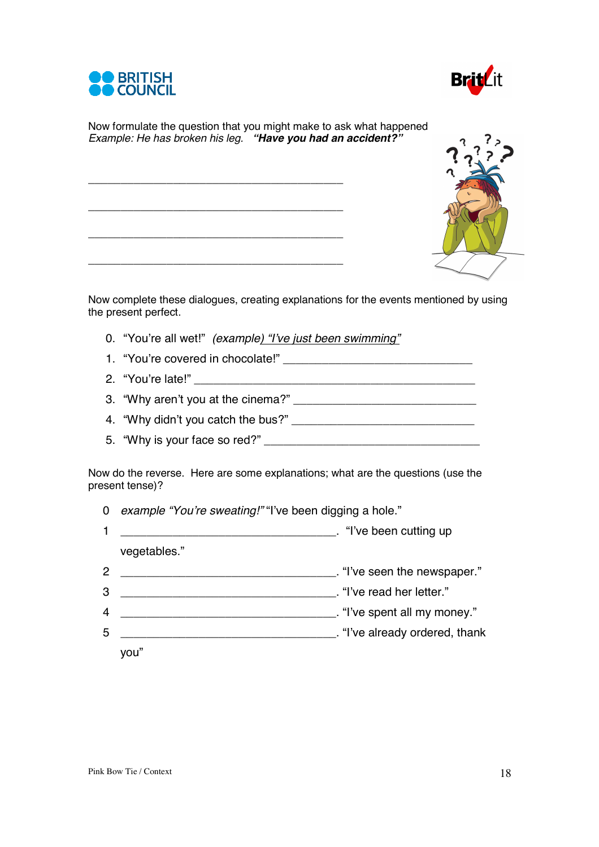



Now formulate the question that you might make to ask what happened *Example: He has broken his leg. "Have you had an accident?"*

\_\_\_\_\_\_\_\_\_\_\_\_\_\_\_\_\_\_\_\_\_\_\_\_\_\_\_\_\_\_\_\_\_\_\_\_\_\_\_

\_\_\_\_\_\_\_\_\_\_\_\_\_\_\_\_\_\_\_\_\_\_\_\_\_\_\_\_\_\_\_\_\_\_\_\_\_\_\_

\_\_\_\_\_\_\_\_\_\_\_\_\_\_\_\_\_\_\_\_\_\_\_\_\_\_\_\_\_\_\_\_\_\_\_\_\_\_\_

\_\_\_\_\_\_\_\_\_\_\_\_\_\_\_\_\_\_\_\_\_\_\_\_\_\_\_\_\_\_\_\_\_\_\_\_\_\_\_

Now complete these dialogues, creating explanations for the events mentioned by using the present perfect.

- 0. "You're all wet!" *(example) "I've just been swimming"*
- 1. "You're covered in chocolate!"
- 2. "You're late!"
- 3. "Why aren't you at the cinema?" \_\_\_\_\_\_\_\_\_\_\_\_\_\_\_\_\_\_\_\_\_\_\_\_\_\_\_\_
- 4. "Why didn't you catch the bus?" \_\_\_\_\_\_\_\_\_\_\_\_\_\_\_\_\_\_\_\_\_\_\_\_\_\_\_\_
- 5. "Why is your face so red?" \_\_\_\_\_\_\_\_\_\_\_\_\_\_\_\_\_\_\_\_\_\_\_\_\_\_\_\_\_\_\_\_\_

Now do the reverse. Here are some explanations; what are the questions (use the present tense)?

|  | 0 example "You're sweating!" "I've been digging a hole." |  |  |
|--|----------------------------------------------------------|--|--|
|  |                                                          |  |  |

- 1 \_\_\_\_\_\_\_\_\_\_\_\_\_\_\_\_\_\_\_\_\_\_\_\_\_\_\_\_\_\_\_\_\_. "I've been cutting up vegetables."
- 2 \_\_\_\_\_\_\_\_\_\_\_\_\_\_\_\_\_\_\_\_\_\_\_\_\_\_\_\_\_\_\_\_\_. "I've seen the newspaper."
- 3 \_\_\_\_\_\_\_\_\_\_\_\_\_\_\_\_\_\_\_\_\_\_\_\_\_\_\_\_\_\_\_\_\_. "I've read her letter."
- 4 \_\_\_\_\_\_\_\_\_\_\_\_\_\_\_\_\_\_\_\_\_\_\_\_\_\_\_\_\_\_\_\_\_. "I've spent all my money."
- 5 \_\_\_\_\_\_\_\_\_\_\_\_\_\_\_\_\_\_\_\_\_\_\_\_\_\_\_\_\_\_\_\_\_. "I've already ordered, thank
	- you"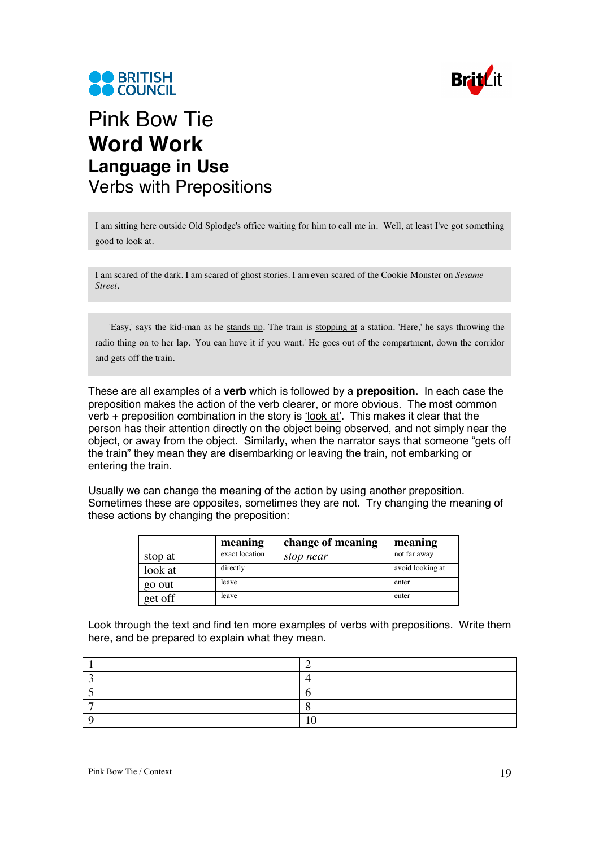



## Pink Bow Tie **Word Work Language in Use**  Verbs with Prepositions

I am sitting here outside Old Splodge's office waiting for him to call me in. Well, at least I've got something good to look at.

I am scared of the dark. I am scared of ghost stories. I am even scared of the Cookie Monster on *Sesame Street.*

'Easy,' says the kid-man as he stands up. The train is stopping at a station. 'Here,' he says throwing the radio thing on to her lap. 'You can have it if you want.' He goes out of the compartment, down the corridor and gets off the train.

These are all examples of a **verb** which is followed by a **preposition.** In each case the preposition makes the action of the verb clearer, or more obvious. The most common verb + preposition combination in the story is 'look at'. This makes it clear that the person has their attention directly on the object being observed, and not simply near the object, or away from the object. Similarly, when the narrator says that someone "gets off the train" they mean they are disembarking or leaving the train, not embarking or entering the train.

Usually we can change the meaning of the action by using another preposition. Sometimes these are opposites, sometimes they are not. Try changing the meaning of these actions by changing the preposition:

|         | meaning        | change of meaning | meaning          |
|---------|----------------|-------------------|------------------|
| stop at | exact location | stop near         | not far away     |
| look at | directly       |                   | avoid looking at |
| go out  | leave          |                   | enter            |
| get off | leave          |                   | enter            |

Look through the text and find ten more examples of verbs with prepositions. Write them here, and be prepared to explain what they mean.